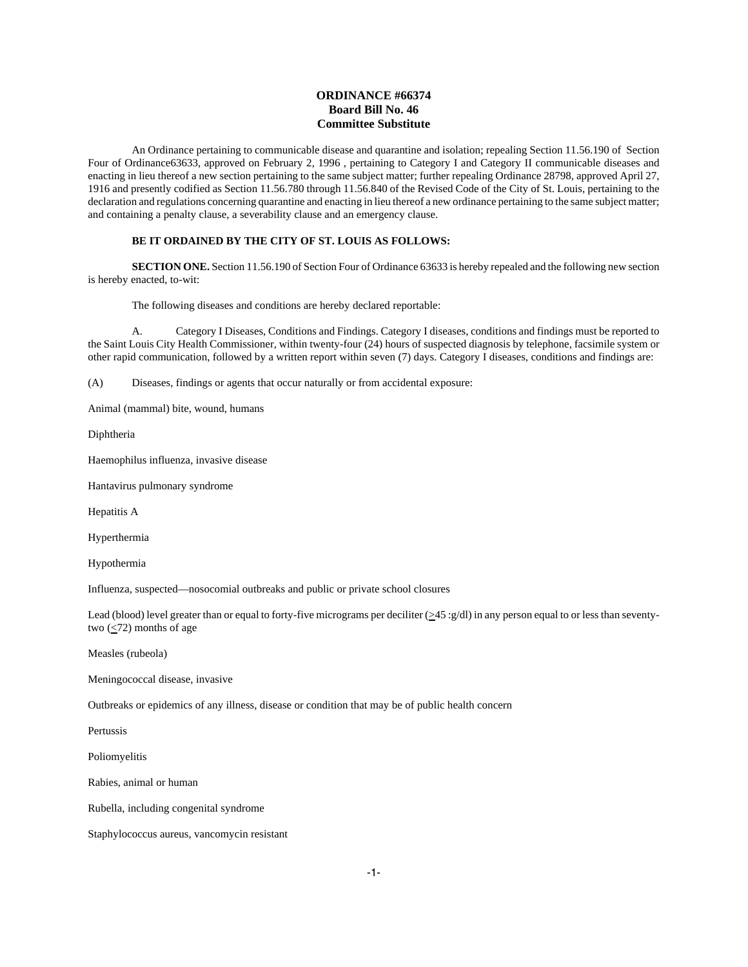# **ORDINANCE #66374 Board Bill No. 46 Committee Substitute**

An Ordinance pertaining to communicable disease and quarantine and isolation; repealing Section 11.56.190 of Section Four of Ordinance63633, approved on February 2, 1996 , pertaining to Category I and Category II communicable diseases and enacting in lieu thereof a new section pertaining to the same subject matter; further repealing Ordinance 28798, approved April 27, 1916 and presently codified as Section 11.56.780 through 11.56.840 of the Revised Code of the City of St. Louis, pertaining to the declaration and regulations concerning quarantine and enacting in lieu thereof a new ordinance pertaining to the same subject matter; and containing a penalty clause, a severability clause and an emergency clause.

### **BE IT ORDAINED BY THE CITY OF ST. LOUIS AS FOLLOWS:**

**SECTION ONE.** Section 11.56.190 of Section Four of Ordinance 63633 is hereby repealed and the following new section is hereby enacted, to-wit:

The following diseases and conditions are hereby declared reportable:

A. Category I Diseases, Conditions and Findings. Category I diseases, conditions and findings must be reported to the Saint Louis City Health Commissioner, within twenty-four (24) hours of suspected diagnosis by telephone, facsimile system or other rapid communication, followed by a written report within seven (7) days. Category I diseases, conditions and findings are:

(A) Diseases, findings or agents that occur naturally or from accidental exposure:

Animal (mammal) bite, wound, humans

Diphtheria

Haemophilus influenza, invasive disease

Hantavirus pulmonary syndrome

Hepatitis A

Hyperthermia

Hypothermia

Influenza, suspected—nosocomial outbreaks and public or private school closures

Lead (blood) level greater than or equal to forty-five micrograms per deciliter ( $\geq$ 45 :g/dl) in any person equal to or less than seventytwo  $(\leq 72)$  months of age

Measles (rubeola)

Meningococcal disease, invasive

Outbreaks or epidemics of any illness, disease or condition that may be of public health concern

Pertussis

Poliomyelitis

Rabies, animal or human

Rubella, including congenital syndrome

Staphylococcus aureus, vancomycin resistant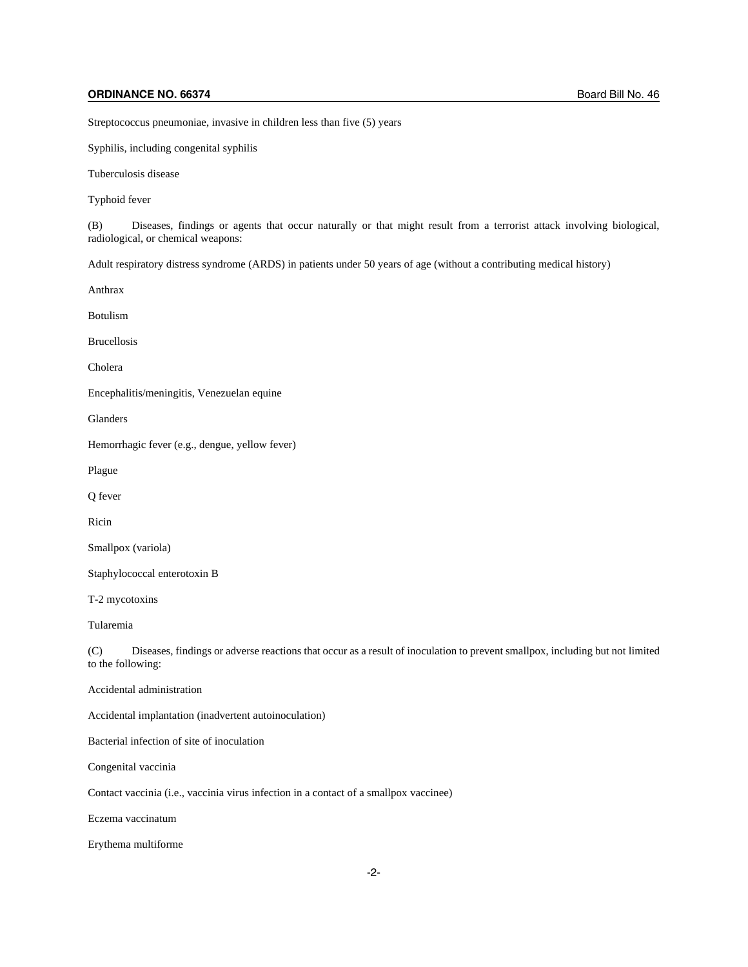# **ORDINANCE NO. 66374** Board Bill No. 46

Streptococcus pneumoniae, invasive in children less than five (5) years

Syphilis, including congenital syphilis

Tuberculosis disease

Typhoid fever

(B) Diseases, findings or agents that occur naturally or that might result from a terrorist attack involving biological, radiological, or chemical weapons:

Adult respiratory distress syndrome (ARDS) in patients under 50 years of age (without a contributing medical history)

Anthrax

Botulism

Brucellosis

Cholera

Encephalitis/meningitis, Venezuelan equine

Glanders

Hemorrhagic fever (e.g., dengue, yellow fever)

Plague

Q fever

Ricin

Smallpox (variola)

Staphylococcal enterotoxin B

T-2 mycotoxins

Tularemia

(C) Diseases, findings or adverse reactions that occur as a result of inoculation to prevent smallpox, including but not limited to the following:

Accidental administration

Accidental implantation (inadvertent autoinoculation)

Bacterial infection of site of inoculation

Congenital vaccinia

Contact vaccinia (i.e., vaccinia virus infection in a contact of a smallpox vaccinee)

Eczema vaccinatum

Erythema multiforme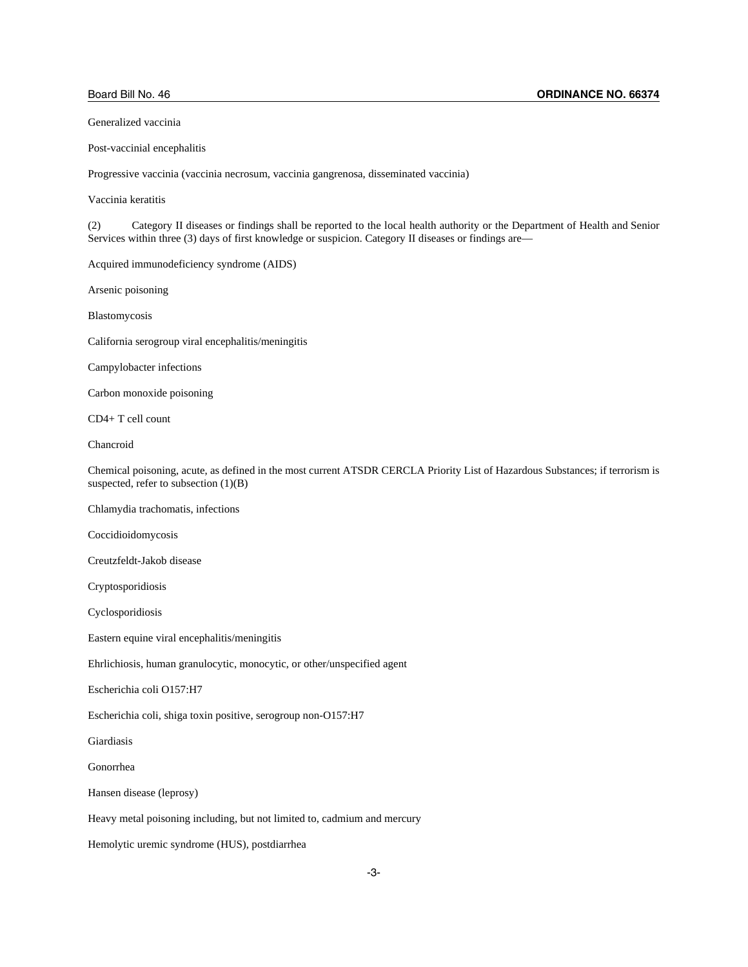Generalized vaccinia

Post-vaccinial encephalitis

Progressive vaccinia (vaccinia necrosum, vaccinia gangrenosa, disseminated vaccinia)

Vaccinia keratitis

(2) Category II diseases or findings shall be reported to the local health authority or the Department of Health and Senior Services within three (3) days of first knowledge or suspicion. Category II diseases or findings are—

Acquired immunodeficiency syndrome (AIDS)

Arsenic poisoning

Blastomycosis

California serogroup viral encephalitis/meningitis

Campylobacter infections

Carbon monoxide poisoning

CD4+ T cell count

Chancroid

Chemical poisoning, acute, as defined in the most current ATSDR CERCLA Priority List of Hazardous Substances; if terrorism is suspected, refer to subsection  $(1)(B)$ 

Chlamydia trachomatis, infections

Coccidioidomycosis

Creutzfeldt-Jakob disease

Cryptosporidiosis

Cyclosporidiosis

Eastern equine viral encephalitis/meningitis

Ehrlichiosis, human granulocytic, monocytic, or other/unspecified agent

Escherichia coli O157:H7

Escherichia coli, shiga toxin positive, serogroup non-O157:H7

Giardiasis

Gonorrhea

Hansen disease (leprosy)

Heavy metal poisoning including, but not limited to, cadmium and mercury

Hemolytic uremic syndrome (HUS), postdiarrhea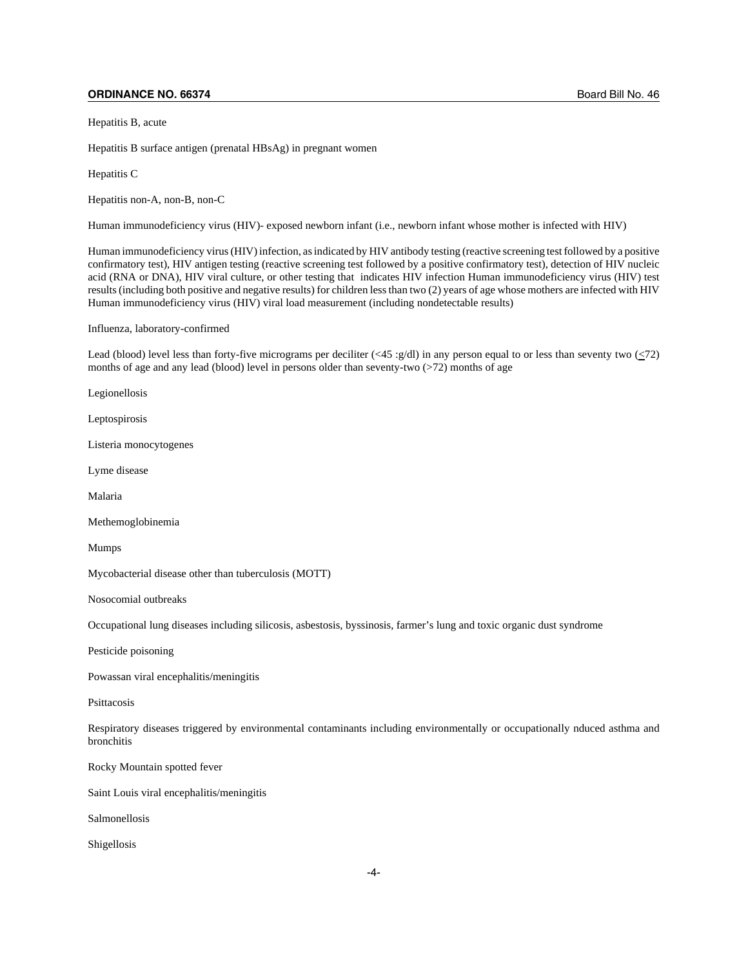### **ORDINANCE NO. 66374** Board Bill No. 46

Hepatitis B, acute

Hepatitis B surface antigen (prenatal HBsAg) in pregnant women

Hepatitis C

Hepatitis non-A, non-B, non-C

Human immunodeficiency virus (HIV)- exposed newborn infant (i.e., newborn infant whose mother is infected with HIV)

Human immunodeficiency virus (HIV) infection, as indicated by HIV antibody testing (reactive screening test followed by a positive confirmatory test), HIV antigen testing (reactive screening test followed by a positive confirmatory test), detection of HIV nucleic acid (RNA or DNA), HIV viral culture, or other testing that indicates HIV infection Human immunodeficiency virus (HIV) test results (including both positive and negative results) for children less than two (2) years of age whose mothers are infected with HIV Human immunodeficiency virus (HIV) viral load measurement (including nondetectable results)

Influenza, laboratory-confirmed

Lead (blood) level less than forty-five micrograms per deciliter  $(\langle 45 : g/d \rangle)$  in any person equal to or less than seventy two  $(\langle 7 \rangle)$ months of age and any lead (blood) level in persons older than seventy-two  $(272)$  months of age

Legionellosis

Leptospirosis

Listeria monocytogenes

Lyme disease

Malaria

Methemoglobinemia

Mumps

Mycobacterial disease other than tuberculosis (MOTT)

Nosocomial outbreaks

Occupational lung diseases including silicosis, asbestosis, byssinosis, farmer's lung and toxic organic dust syndrome

Pesticide poisoning

Powassan viral encephalitis/meningitis

Psittacosis

Respiratory diseases triggered by environmental contaminants including environmentally or occupationally nduced asthma and bronchitis

Rocky Mountain spotted fever

Saint Louis viral encephalitis/meningitis

Salmonellosis

Shigellosis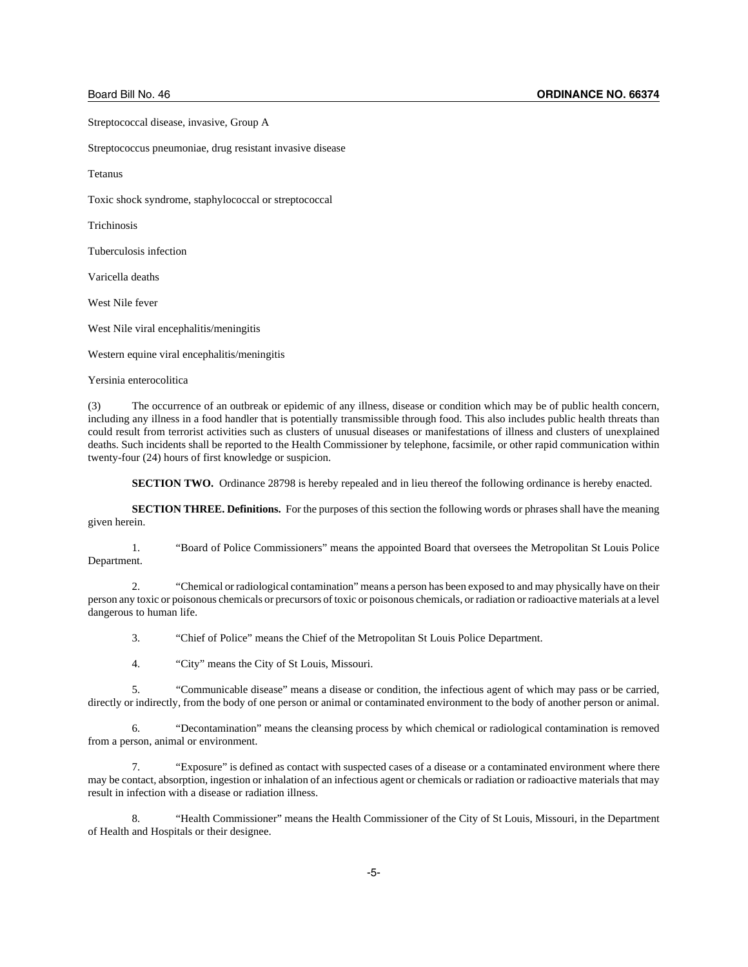Streptococcal disease, invasive, Group A

Streptococcus pneumoniae, drug resistant invasive disease

Tetanus

Toxic shock syndrome, staphylococcal or streptococcal

Trichinosis

Tuberculosis infection

Varicella deaths

West Nile fever

West Nile viral encephalitis/meningitis

Western equine viral encephalitis/meningitis

Yersinia enterocolitica

(3) The occurrence of an outbreak or epidemic of any illness, disease or condition which may be of public health concern, including any illness in a food handler that is potentially transmissible through food. This also includes public health threats than could result from terrorist activities such as clusters of unusual diseases or manifestations of illness and clusters of unexplained deaths. Such incidents shall be reported to the Health Commissioner by telephone, facsimile, or other rapid communication within twenty-four (24) hours of first knowledge or suspicion.

**SECTION TWO.** Ordinance 28798 is hereby repealed and in lieu thereof the following ordinance is hereby enacted.

**SECTION THREE. Definitions.** For the purposes of this section the following words or phrases shall have the meaning given herein.

1. "Board of Police Commissioners" means the appointed Board that oversees the Metropolitan St Louis Police Department.

2. "Chemical or radiological contamination" means a person has been exposed to and may physically have on their person any toxic or poisonous chemicals or precursors of toxic or poisonous chemicals, or radiation or radioactive materials at a level dangerous to human life.

3. "Chief of Police" means the Chief of the Metropolitan St Louis Police Department.

4. "City" means the City of St Louis, Missouri.

5. "Communicable disease" means a disease or condition, the infectious agent of which may pass or be carried, directly or indirectly, from the body of one person or animal or contaminated environment to the body of another person or animal.

 6. "Decontamination" means the cleansing process by which chemical or radiological contamination is removed from a person, animal or environment.

7. "Exposure" is defined as contact with suspected cases of a disease or a contaminated environment where there may be contact, absorption, ingestion or inhalation of an infectious agent or chemicals or radiation or radioactive materials that may result in infection with a disease or radiation illness.

8. "Health Commissioner" means the Health Commissioner of the City of St Louis, Missouri, in the Department of Health and Hospitals or their designee.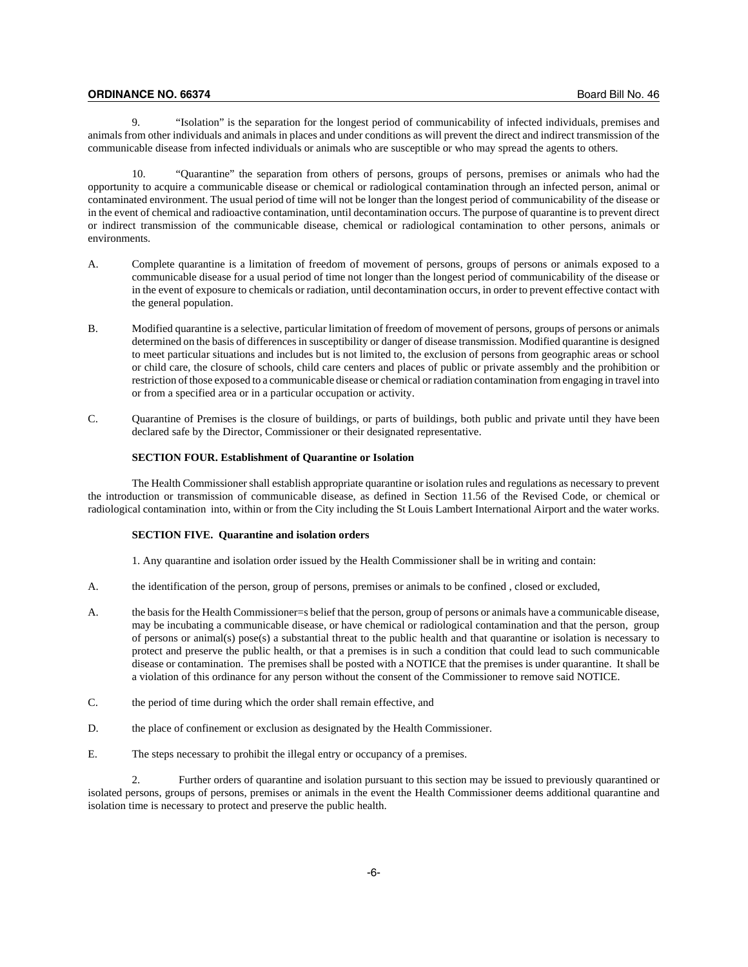# **ORDINANCE NO. 66374** Board Bill No. 46

9. "Isolation" is the separation for the longest period of communicability of infected individuals, premises and animals from other individuals and animals in places and under conditions as will prevent the direct and indirect transmission of the communicable disease from infected individuals or animals who are susceptible or who may spread the agents to others.

10. "Quarantine" the separation from others of persons, groups of persons, premises or animals who had the opportunity to acquire a communicable disease or chemical or radiological contamination through an infected person, animal or contaminated environment. The usual period of time will not be longer than the longest period of communicability of the disease or in the event of chemical and radioactive contamination, until decontamination occurs. The purpose of quarantine is to prevent direct or indirect transmission of the communicable disease, chemical or radiological contamination to other persons, animals or environments.

- A. Complete quarantine is a limitation of freedom of movement of persons, groups of persons or animals exposed to a communicable disease for a usual period of time not longer than the longest period of communicability of the disease or in the event of exposure to chemicals or radiation, until decontamination occurs, in order to prevent effective contact with the general population.
- B. Modified quarantine is a selective, particular limitation of freedom of movement of persons, groups of persons or animals determined on the basis of differences in susceptibility or danger of disease transmission. Modified quarantine is designed to meet particular situations and includes but is not limited to, the exclusion of persons from geographic areas or school or child care, the closure of schools, child care centers and places of public or private assembly and the prohibition or restriction of those exposed to a communicable disease or chemical or radiation contamination from engaging in travel into or from a specified area or in a particular occupation or activity.
- C. Quarantine of Premises is the closure of buildings, or parts of buildings, both public and private until they have been declared safe by the Director, Commissioner or their designated representative.

#### **SECTION FOUR. Establishment of Quarantine or Isolation**

The Health Commissioner shall establish appropriate quarantine or isolation rules and regulations as necessary to prevent the introduction or transmission of communicable disease, as defined in Section 11.56 of the Revised Code, or chemical or radiological contamination into, within or from the City including the St Louis Lambert International Airport and the water works.

#### **SECTION FIVE. Quarantine and isolation orders**

1. Any quarantine and isolation order issued by the Health Commissioner shall be in writing and contain:

- A. the identification of the person, group of persons, premises or animals to be confined , closed or excluded,
- A. the basis for the Health Commissioner=s belief that the person, group of persons or animals have a communicable disease, may be incubating a communicable disease, or have chemical or radiological contamination and that the person, group of persons or animal(s) pose(s) a substantial threat to the public health and that quarantine or isolation is necessary to protect and preserve the public health, or that a premises is in such a condition that could lead to such communicable disease or contamination. The premises shall be posted with a NOTICE that the premises is under quarantine. It shall be a violation of this ordinance for any person without the consent of the Commissioner to remove said NOTICE.
- C. the period of time during which the order shall remain effective, and
- D. the place of confinement or exclusion as designated by the Health Commissioner.
- E. The steps necessary to prohibit the illegal entry or occupancy of a premises.

2. Further orders of quarantine and isolation pursuant to this section may be issued to previously quarantined or isolated persons, groups of persons, premises or animals in the event the Health Commissioner deems additional quarantine and isolation time is necessary to protect and preserve the public health.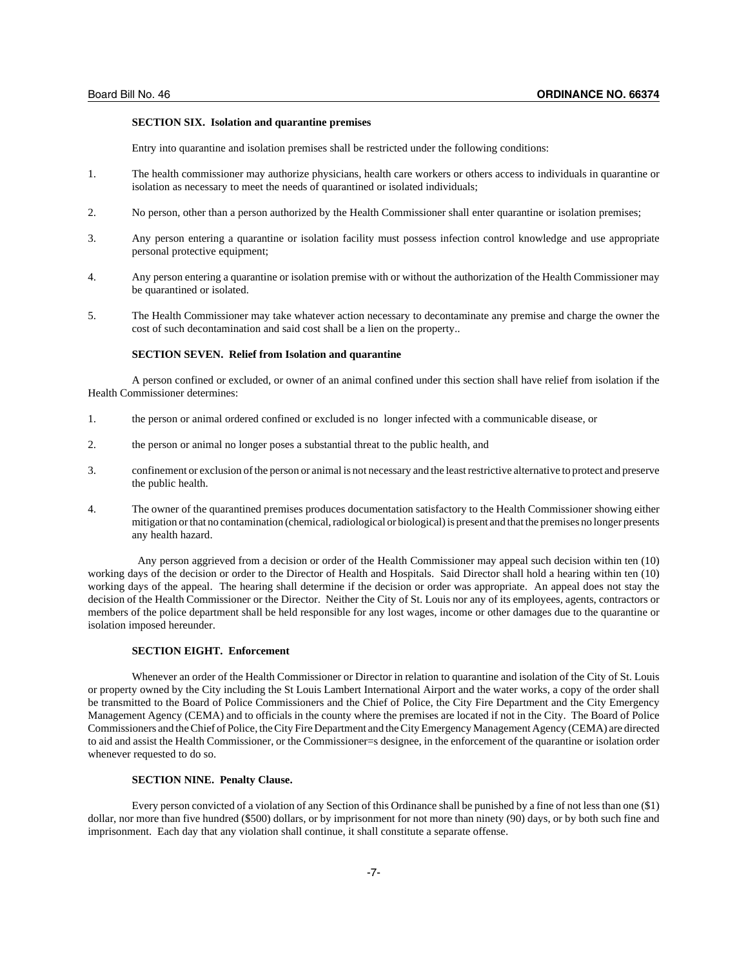#### **SECTION SIX. Isolation and quarantine premises**

Entry into quarantine and isolation premises shall be restricted under the following conditions:

- 1. The health commissioner may authorize physicians, health care workers or others access to individuals in quarantine or isolation as necessary to meet the needs of quarantined or isolated individuals;
- 2. No person, other than a person authorized by the Health Commissioner shall enter quarantine or isolation premises;
- 3. Any person entering a quarantine or isolation facility must possess infection control knowledge and use appropriate personal protective equipment;
- 4. Any person entering a quarantine or isolation premise with or without the authorization of the Health Commissioner may be quarantined or isolated.
- 5. The Health Commissioner may take whatever action necessary to decontaminate any premise and charge the owner the cost of such decontamination and said cost shall be a lien on the property..

#### **SECTION SEVEN. Relief from Isolation and quarantine**

A person confined or excluded, or owner of an animal confined under this section shall have relief from isolation if the Health Commissioner determines:

- 1. the person or animal ordered confined or excluded is no longer infected with a communicable disease, or
- 2. the person or animal no longer poses a substantial threat to the public health, and
- 3. confinement or exclusion of the person or animal is not necessary and the least restrictive alternative to protect and preserve the public health.
- 4. The owner of the quarantined premises produces documentation satisfactory to the Health Commissioner showing either mitigation or that no contamination (chemical, radiological or biological) is present and that the premises no longer presents any health hazard.

 Any person aggrieved from a decision or order of the Health Commissioner may appeal such decision within ten (10) working days of the decision or order to the Director of Health and Hospitals. Said Director shall hold a hearing within ten (10) working days of the appeal. The hearing shall determine if the decision or order was appropriate. An appeal does not stay the decision of the Health Commissioner or the Director. Neither the City of St. Louis nor any of its employees, agents, contractors or members of the police department shall be held responsible for any lost wages, income or other damages due to the quarantine or isolation imposed hereunder.

#### **SECTION EIGHT. Enforcement**

Whenever an order of the Health Commissioner or Director in relation to quarantine and isolation of the City of St. Louis or property owned by the City including the St Louis Lambert International Airport and the water works, a copy of the order shall be transmitted to the Board of Police Commissioners and the Chief of Police, the City Fire Department and the City Emergency Management Agency (CEMA) and to officials in the county where the premises are located if not in the City. The Board of Police Commissioners and the Chief of Police, the City Fire Department and the City Emergency Management Agency (CEMA) are directed to aid and assist the Health Commissioner, or the Commissioner=s designee, in the enforcement of the quarantine or isolation order whenever requested to do so.

## **SECTION NINE. Penalty Clause.**

Every person convicted of a violation of any Section of this Ordinance shall be punished by a fine of not less than one (\$1) dollar, nor more than five hundred (\$500) dollars, or by imprisonment for not more than ninety (90) days, or by both such fine and imprisonment. Each day that any violation shall continue, it shall constitute a separate offense.